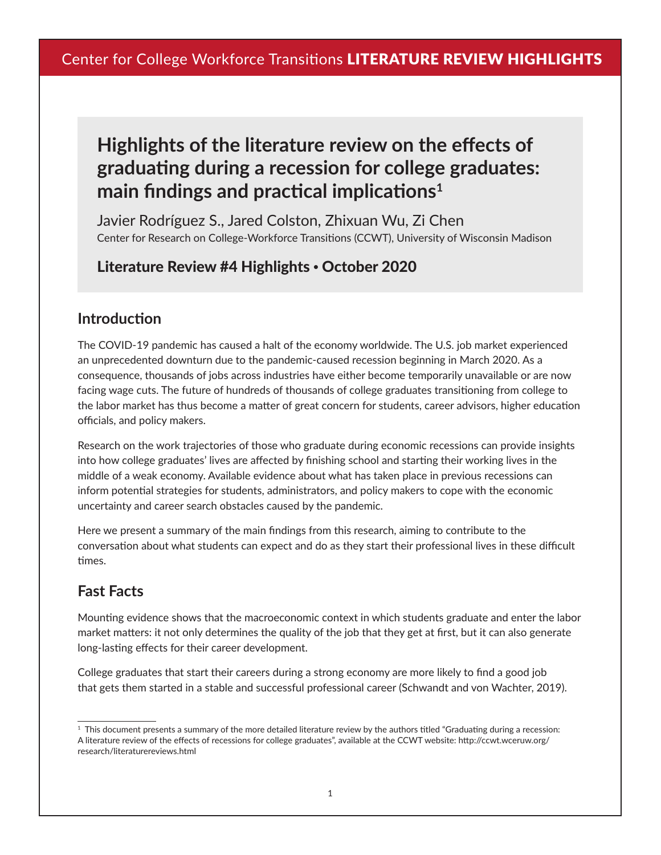# **Highlights of the literature review on the effects of graduating during a recession for college graduates: main findings and practical implications<sup>1</sup>**

Javier Rodríguez S., Jared Colston, Zhixuan Wu, Zi Chen Center for Research on College-Workforce Transitions (CCWT), University of Wisconsin Madison

# Literature Review #4 Highlights • October 2020

#### **Introduction**

The COVID-19 pandemic has caused a halt of the economy worldwide. The U.S. job market experienced an unprecedented downturn due to the pandemic-caused recession beginning in March 2020. As a consequence, thousands of jobs across industries have either become temporarily unavailable or are now facing wage cuts. The future of hundreds of thousands of college graduates transitioning from college to the labor market has thus become a matter of great concern for students, career advisors, higher education officials, and policy makers.

Research on the work trajectories of those who graduate during economic recessions can provide insights into how college graduates' lives are affected by finishing school and starting their working lives in the middle of a weak economy. Available evidence about what has taken place in previous recessions can inform potential strategies for students, administrators, and policy makers to cope with the economic uncertainty and career search obstacles caused by the pandemic.

Here we present a summary of the main findings from this research, aiming to contribute to the conversation about what students can expect and do as they start their professional lives in these difficult times.

# **Fast Facts**

Mounting evidence shows that the macroeconomic context in which students graduate and enter the labor market matters: it not only determines the quality of the job that they get at first, but it can also generate long-lasting effects for their career development.

College graduates that start their careers during a strong economy are more likely to find a good job that gets them started in a stable and successful professional career (Schwandt and von Wachter, 2019).

 $1$  This document presents a summary of the more detailed literature review by the authors titled "Graduating during a recession: A literature review of the effects of recessions for college graduates", available at the CCWT website: http://ccwt.wceruw.org/ research/literaturereviews.html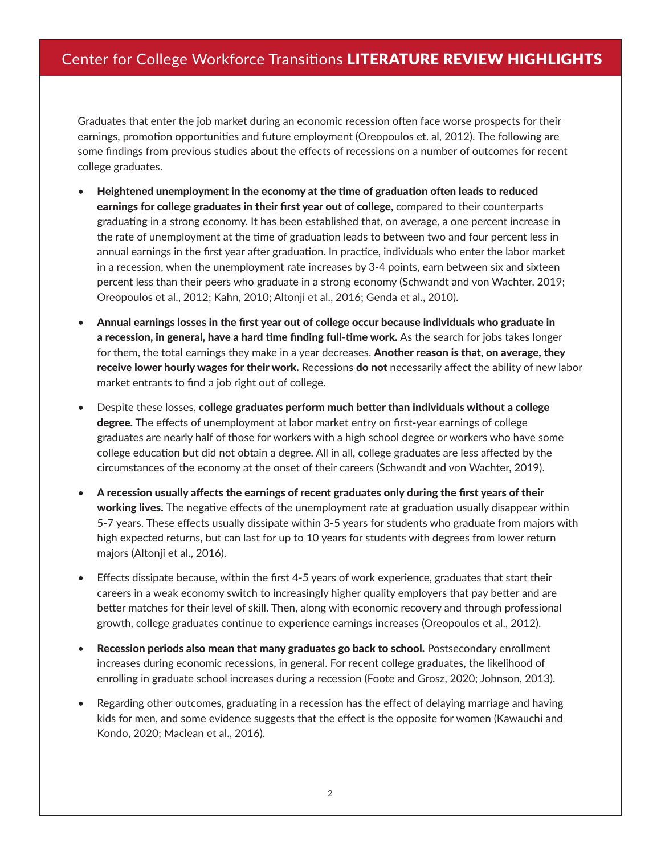Graduates that enter the job market during an economic recession often face worse prospects for their earnings, promotion opportunities and future employment (Oreopoulos et. al, 2012). The following are some findings from previous studies about the effects of recessions on a number of outcomes for recent college graduates.

- Heightened unemployment in the economy at the time of graduation often leads to reduced earnings for college graduates in their first year out of college, compared to their counterparts graduating in a strong economy. It has been established that, on average, a one percent increase in the rate of unemployment at the time of graduation leads to between two and four percent less in annual earnings in the first year after graduation. In practice, individuals who enter the labor market in a recession, when the unemployment rate increases by 3-4 points, earn between six and sixteen percent less than their peers who graduate in a strong economy (Schwandt and von Wachter, 2019; Oreopoulos et al., 2012; Kahn, 2010; Altonji et al., 2016; Genda et al., 2010).
- Annual earnings losses in the first year out of college occur because individuals who graduate in a recession, in general, have a hard time finding full-time work. As the search for jobs takes longer for them, the total earnings they make in a year decreases. Another reason is that, on average, they receive lower hourly wages for their work. Recessions do not necessarily affect the ability of new labor market entrants to find a job right out of college.
- Despite these losses, college graduates perform much better than individuals without a college degree. The effects of unemployment at labor market entry on first-year earnings of college graduates are nearly half of those for workers with a high school degree or workers who have some college education but did not obtain a degree. All in all, college graduates are less affected by the circumstances of the economy at the onset of their careers (Schwandt and von Wachter, 2019).
- A recession usually affects the earnings of recent graduates only during the first years of their working lives. The negative effects of the unemployment rate at graduation usually disappear within 5-7 years. These effects usually dissipate within 3-5 years for students who graduate from majors with high expected returns, but can last for up to 10 years for students with degrees from lower return majors (Altonji et al., 2016).
- Effects dissipate because, within the first 4-5 years of work experience, graduates that start their careers in a weak economy switch to increasingly higher quality employers that pay better and are better matches for their level of skill. Then, along with economic recovery and through professional growth, college graduates continue to experience earnings increases (Oreopoulos et al., 2012).
- Recession periods also mean that many graduates go back to school. Postsecondary enrollment increases during economic recessions, in general. For recent college graduates, the likelihood of enrolling in graduate school increases during a recession (Foote and Grosz, 2020; Johnson, 2013).
- Regarding other outcomes, graduating in a recession has the effect of delaying marriage and having kids for men, and some evidence suggests that the effect is the opposite for women (Kawauchi and Kondo, 2020; Maclean et al., 2016).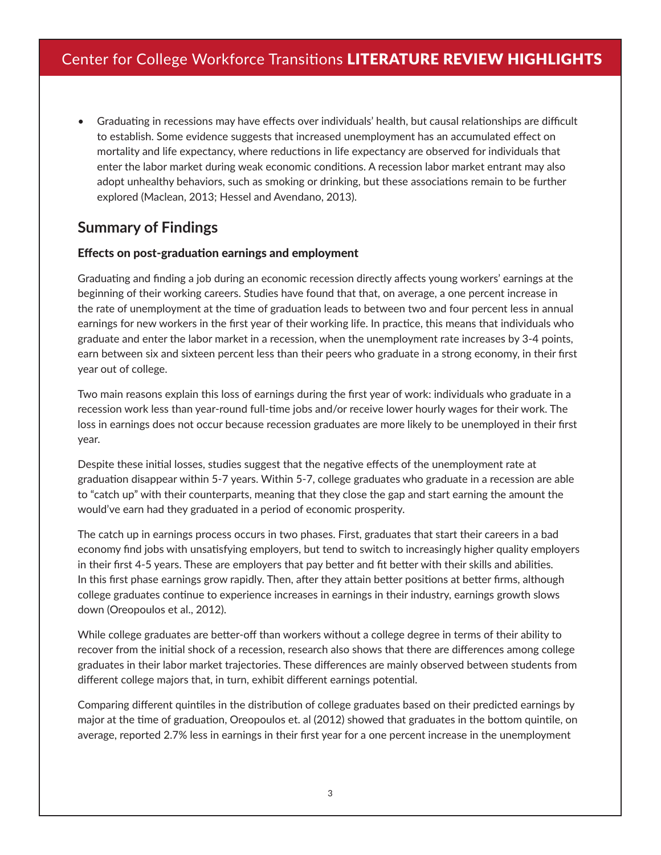• Graduating in recessions may have effects over individuals' health, but causal relationships are difficult to establish. Some evidence suggests that increased unemployment has an accumulated effect on mortality and life expectancy, where reductions in life expectancy are observed for individuals that enter the labor market during weak economic conditions. A recession labor market entrant may also adopt unhealthy behaviors, such as smoking or drinking, but these associations remain to be further explored (Maclean, 2013; Hessel and Avendano, 2013).

### **Summary of Findings**

#### Effects on post-graduation earnings and employment

Graduating and finding a job during an economic recession directly affects young workers' earnings at the beginning of their working careers. Studies have found that that, on average, a one percent increase in the rate of unemployment at the time of graduation leads to between two and four percent less in annual earnings for new workers in the first year of their working life. In practice, this means that individuals who graduate and enter the labor market in a recession, when the unemployment rate increases by 3-4 points, earn between six and sixteen percent less than their peers who graduate in a strong economy, in their first year out of college.

Two main reasons explain this loss of earnings during the first year of work: individuals who graduate in a recession work less than year-round full-time jobs and/or receive lower hourly wages for their work. The loss in earnings does not occur because recession graduates are more likely to be unemployed in their first year.

Despite these initial losses, studies suggest that the negative effects of the unemployment rate at graduation disappear within 5-7 years. Within 5-7, college graduates who graduate in a recession are able to "catch up" with their counterparts, meaning that they close the gap and start earning the amount the would've earn had they graduated in a period of economic prosperity.

The catch up in earnings process occurs in two phases. First, graduates that start their careers in a bad economy find jobs with unsatisfying employers, but tend to switch to increasingly higher quality employers in their first 4-5 years. These are employers that pay better and fit better with their skills and abilities. In this first phase earnings grow rapidly. Then, after they attain better positions at better firms, although college graduates continue to experience increases in earnings in their industry, earnings growth slows down (Oreopoulos et al., 2012).

While college graduates are better-off than workers without a college degree in terms of their ability to recover from the initial shock of a recession, research also shows that there are differences among college graduates in their labor market trajectories. These differences are mainly observed between students from different college majors that, in turn, exhibit different earnings potential.

Comparing different quintiles in the distribution of college graduates based on their predicted earnings by major at the time of graduation, Oreopoulos et. al (2012) showed that graduates in the bottom quintile, on average, reported 2.7% less in earnings in their first year for a one percent increase in the unemployment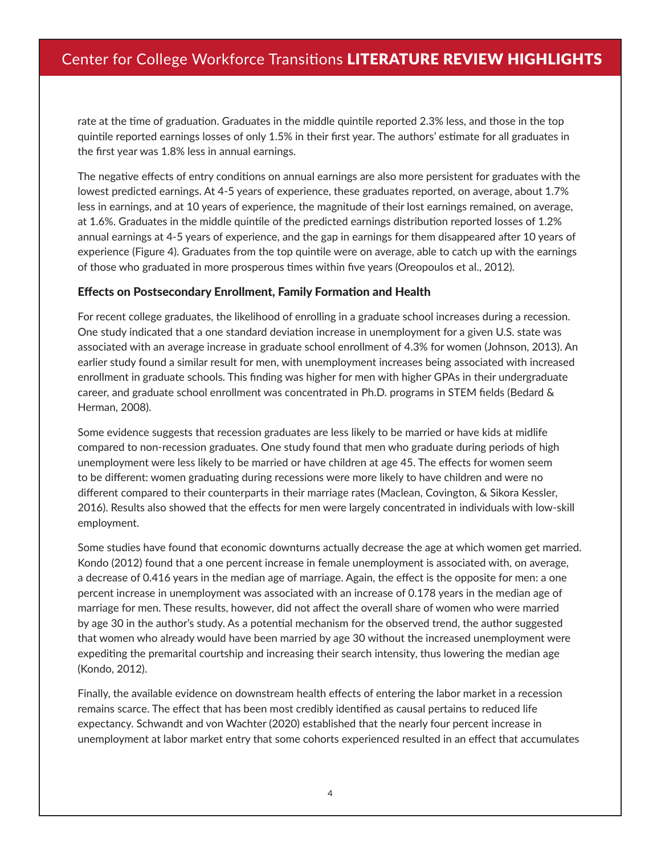rate at the time of graduation. Graduates in the middle quintile reported 2.3% less, and those in the top quintile reported earnings losses of only 1.5% in their first year. The authors' estimate for all graduates in the first year was 1.8% less in annual earnings.

The negative effects of entry conditions on annual earnings are also more persistent for graduates with the lowest predicted earnings. At 4-5 years of experience, these graduates reported, on average, about 1.7% less in earnings, and at 10 years of experience, the magnitude of their lost earnings remained, on average, at 1.6%. Graduates in the middle quintile of the predicted earnings distribution reported losses of 1.2% annual earnings at 4-5 years of experience, and the gap in earnings for them disappeared after 10 years of experience (Figure 4). Graduates from the top quintile were on average, able to catch up with the earnings of those who graduated in more prosperous times within five years (Oreopoulos et al., 2012).

#### Effects on Postsecondary Enrollment, Family Formation and Health

For recent college graduates, the likelihood of enrolling in a graduate school increases during a recession. One study indicated that a one standard deviation increase in unemployment for a given U.S. state was associated with an average increase in graduate school enrollment of 4.3% for women (Johnson, 2013). An earlier study found a similar result for men, with unemployment increases being associated with increased enrollment in graduate schools. This finding was higher for men with higher GPAs in their undergraduate career, and graduate school enrollment was concentrated in Ph.D. programs in STEM fields (Bedard & Herman, 2008).

Some evidence suggests that recession graduates are less likely to be married or have kids at midlife compared to non-recession graduates. One study found that men who graduate during periods of high unemployment were less likely to be married or have children at age 45. The effects for women seem to be different: women graduating during recessions were more likely to have children and were no different compared to their counterparts in their marriage rates (Maclean, Covington, & Sikora Kessler, 2016). Results also showed that the effects for men were largely concentrated in individuals with low-skill employment.

Some studies have found that economic downturns actually decrease the age at which women get married. Kondo (2012) found that a one percent increase in female unemployment is associated with, on average, a decrease of 0.416 years in the median age of marriage. Again, the effect is the opposite for men: a one percent increase in unemployment was associated with an increase of 0.178 years in the median age of marriage for men. These results, however, did not affect the overall share of women who were married by age 30 in the author's study. As a potential mechanism for the observed trend, the author suggested that women who already would have been married by age 30 without the increased unemployment were expediting the premarital courtship and increasing their search intensity, thus lowering the median age (Kondo, 2012).

Finally, the available evidence on downstream health effects of entering the labor market in a recession remains scarce. The effect that has been most credibly identified as causal pertains to reduced life expectancy. Schwandt and von Wachter (2020) established that the nearly four percent increase in unemployment at labor market entry that some cohorts experienced resulted in an effect that accumulates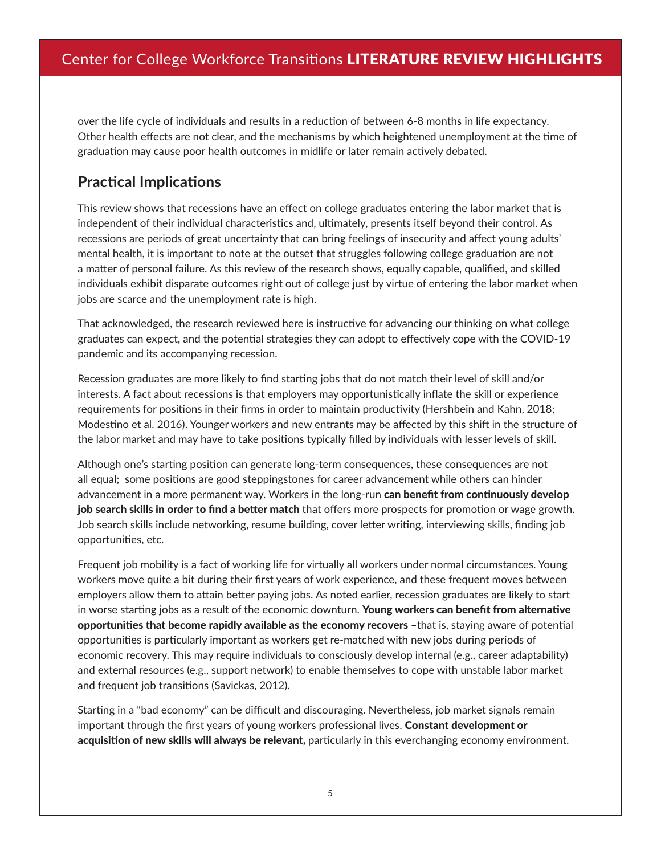over the life cycle of individuals and results in a reduction of between 6-8 months in life expectancy. Other health effects are not clear, and the mechanisms by which heightened unemployment at the time of graduation may cause poor health outcomes in midlife or later remain actively debated.

#### **Practical Implications**

This review shows that recessions have an effect on college graduates entering the labor market that is independent of their individual characteristics and, ultimately, presents itself beyond their control. As recessions are periods of great uncertainty that can bring feelings of insecurity and affect young adults' mental health, it is important to note at the outset that struggles following college graduation are not a matter of personal failure. As this review of the research shows, equally capable, qualified, and skilled individuals exhibit disparate outcomes right out of college just by virtue of entering the labor market when jobs are scarce and the unemployment rate is high.

That acknowledged, the research reviewed here is instructive for advancing our thinking on what college graduates can expect, and the potential strategies they can adopt to effectively cope with the COVID-19 pandemic and its accompanying recession.

Recession graduates are more likely to find starting jobs that do not match their level of skill and/or interests. A fact about recessions is that employers may opportunistically inflate the skill or experience requirements for positions in their firms in order to maintain productivity (Hershbein and Kahn, 2018; Modestino et al. 2016). Younger workers and new entrants may be affected by this shift in the structure of the labor market and may have to take positions typically filled by individuals with lesser levels of skill.

Although one's starting position can generate long-term consequences, these consequences are not all equal; some positions are good steppingstones for career advancement while others can hinder advancement in a more permanent way. Workers in the long-run can benefit from continuously develop job search skills in order to find a better match that offers more prospects for promotion or wage growth. Job search skills include networking, resume building, cover letter writing, interviewing skills, finding job opportunities, etc.

Frequent job mobility is a fact of working life for virtually all workers under normal circumstances. Young workers move quite a bit during their first years of work experience, and these frequent moves between employers allow them to attain better paying jobs. As noted earlier, recession graduates are likely to start in worse starting jobs as a result of the economic downturn. Young workers can benefit from alternative opportunities that become rapidly available as the economy recovers –that is, staying aware of potential opportunities is particularly important as workers get re-matched with new jobs during periods of economic recovery. This may require individuals to consciously develop internal (e.g., career adaptability) and external resources (e.g., support network) to enable themselves to cope with unstable labor market and frequent job transitions (Savickas, 2012).

Starting in a "bad economy" can be difficult and discouraging. Nevertheless, job market signals remain important through the first years of young workers professional lives. **Constant development or** acquisition of new skills will always be relevant, particularly in this everchanging economy environment.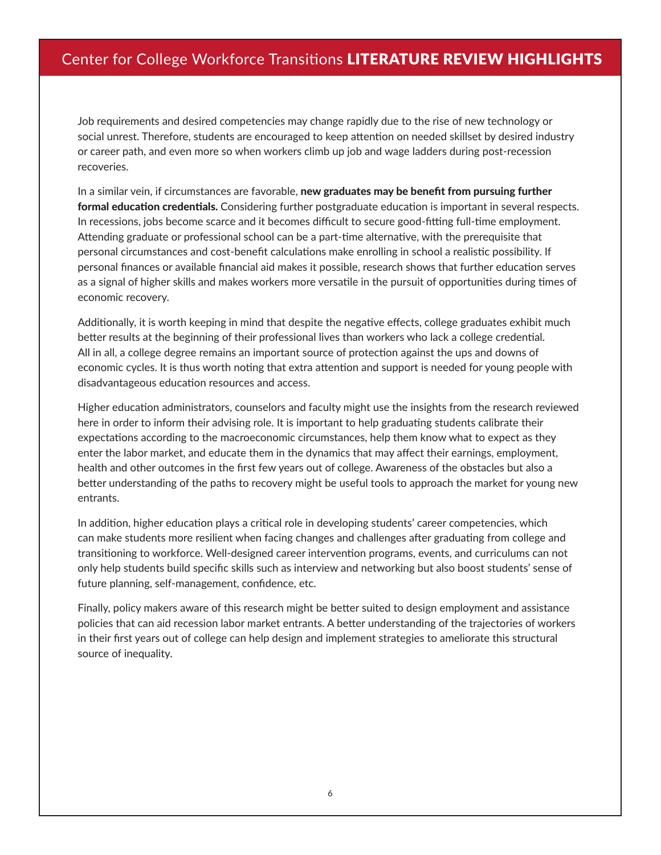Job requirements and desired competencies may change rapidly due to the rise of new technology or social unrest. Therefore, students are encouraged to keep attention on needed skillset by desired industry or career path, and even more so when workers climb up job and wage ladders during post-recession recoveries.

In a similar vein, if circumstances are favorable, new graduates may be benefit from pursuing further formal education credentials. Considering further postgraduate education is important in several respects. In recessions, jobs become scarce and it becomes difficult to secure good-fitting full-time employment. Attending graduate or professional school can be a part-time alternative, with the prerequisite that personal circumstances and cost-benefit calculations make enrolling in school a realistic possibility. If personal finances or available financial aid makes it possible, research shows that further education serves as a signal of higher skills and makes workers more versatile in the pursuit of opportunities during times of economic recovery.

Additionally, it is worth keeping in mind that despite the negative effects, college graduates exhibit much better results at the beginning of their professional lives than workers who lack a college credential. All in all, a college degree remains an important source of protection against the ups and downs of economic cycles. It is thus worth noting that extra attention and support is needed for young people with disadvantageous education resources and access.

Higher education administrators, counselors and faculty might use the insights from the research reviewed here in order to inform their advising role. It is important to help graduating students calibrate their expectations according to the macroeconomic circumstances, help them know what to expect as they enter the labor market, and educate them in the dynamics that may affect their earnings, employment, health and other outcomes in the first few years out of college. Awareness of the obstacles but also a better understanding of the paths to recovery might be useful tools to approach the market for young new entrants.

In addition, higher education plays a critical role in developing students' career competencies, which can make students more resilient when facing changes and challenges after graduating from college and transitioning to workforce. Well-designed career intervention programs, events, and curriculums can not only help students build specific skills such as interview and networking but also boost students' sense of future planning, self-management, confidence, etc.

Finally, policy makers aware of this research might be better suited to design employment and assistance policies that can aid recession labor market entrants. A better understanding of the trajectories of workers in their first years out of college can help design and implement strategies to ameliorate this structural source of inequality.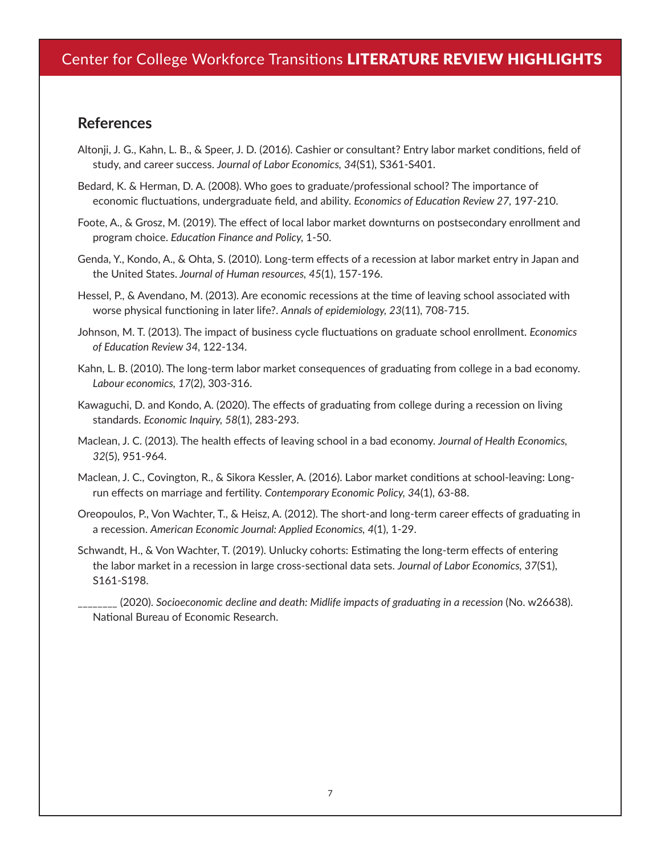#### **References**

- Altonji, J. G., Kahn, L. B., & Speer, J. D. (2016). Cashier or consultant? Entry labor market conditions, field of study, and career success. *Journal of Labor Economics, 34*(S1), S361-S401.
- Bedard, K. & Herman, D. A. (2008). Who goes to graduate/professional school? The importance of economic fluctuations, undergraduate field, and ability. *Economics of Education Review 27,* 197-210.
- Foote, A., & Grosz, M. (2019). The effect of local labor market downturns on postsecondary enrollment and program choice. *Education Finance and Policy,* 1-50.
- Genda, Y., Kondo, A., & Ohta, S. (2010). Long-term effects of a recession at labor market entry in Japan and the United States. *Journal of Human resources, 45*(1), 157-196.
- Hessel, P., & Avendano, M. (2013). Are economic recessions at the time of leaving school associated with worse physical functioning in later life?. *Annals of epidemiology, 23*(11), 708-715.
- Johnson, M. T. (2013). The impact of business cycle fluctuations on graduate school enrollment. *Economics of Education Review 34,* 122-134.
- Kahn, L. B. (2010). The long-term labor market consequences of graduating from college in a bad economy. *Labour economics, 17*(2), 303-316.
- Kawaguchi, D. and Kondo, A. (2020). The effects of graduating from college during a recession on living standards. *Economic Inquiry, 58*(1), 283-293.
- Maclean, J. C. (2013). The health effects of leaving school in a bad economy. *Journal of Health Economics, 32*(5), 951-964.
- Maclean, J. C., Covington, R., & Sikora Kessler, A. (2016). Labor market conditions at school-leaving: Longrun effects on marriage and fertility. *Contemporary Economic Policy, 3*4(1), 63-88.
- Oreopoulos, P., Von Wachter, T., & Heisz, A. (2012). The short-and long-term career effects of graduating in a recession. *American Economic Journal: Applied Economics, 4*(1), 1-29.
- Schwandt, H., & Von Wachter, T. (2019). Unlucky cohorts: Estimating the long-term effects of entering the labor market in a recession in large cross-sectional data sets. *Journal of Labor Economics, 37*(S1), S161-S198.

\_\_\_\_\_\_\_\_ (2020). *Socioeconomic decline and death: Midlife impacts of graduating in a recession* (No. w26638). National Bureau of Economic Research.